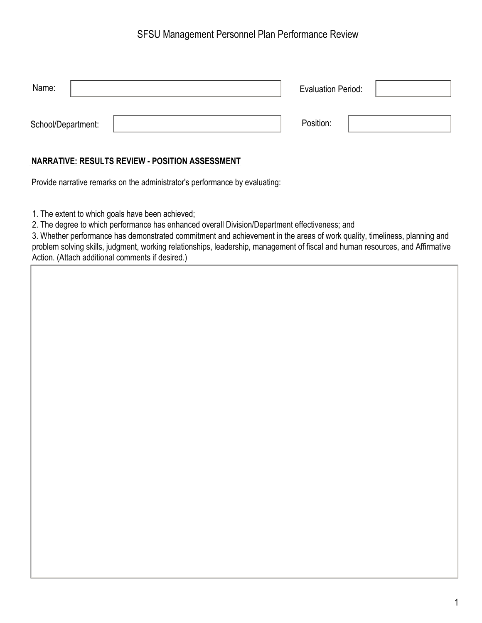## SFSU Management Personnel Plan Performance Review

| Name:              | <b>Evaluation Period:</b> |  |
|--------------------|---------------------------|--|
|                    |                           |  |
| School/Department: | Position:                 |  |

### **NARRATIVE: RESULTS REVIEW - POSITION ASSESSMENT**

Provide narrative remarks on the administrator's performance by evaluating:

1. The extent to which goals have been achieved;

2. The degree to which performance has enhanced overall Division/Department effectiveness; and

3. Whether performance has demonstrated commitment and achievement in the areas of work quality, timeliness, planning and problem solving skills, judgment, working relationships, leadership, management of fiscal and human resources, and Affirmative Action. (Attach additional comments if desired.)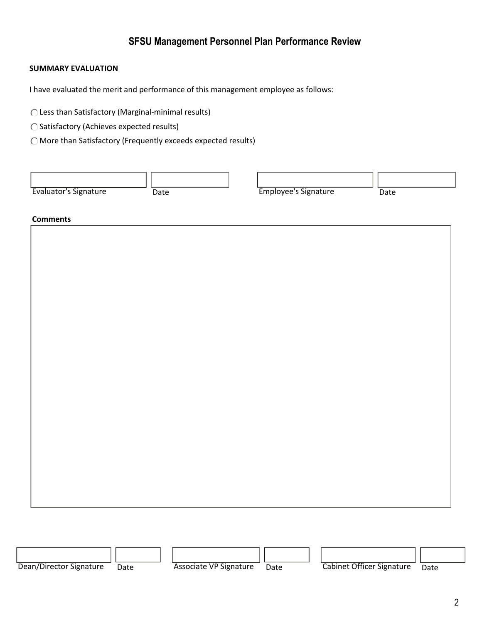# **SFSU Management Personnel Plan Performance Review**

#### **SUMMARY EVALUATION**

I have evaluated the merit and performance of this management employee as follows:

Less than Satisfactory (Marginal-minimal results)

Satisfactory (Achieves expected results)

More than Satisfactory (Frequently exceeds expected results)

| Evaluator's Signature | Date | <b>Employee's Signature</b> | Date |
|-----------------------|------|-----------------------------|------|

#### **Comments**

| Dean/Director Signature | Date | Associate VP Signature | Date | Cabinet Officer Signature | Date |
|-------------------------|------|------------------------|------|---------------------------|------|